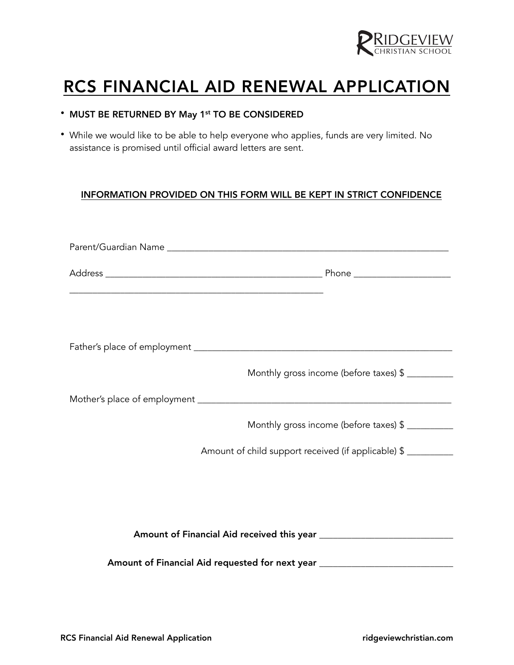

## RCS FINANCIAL AID RENEWAL APPLICATION

|  |  |  |  |  |  | • MUST BE RETURNED BY May 1st TO BE CONSIDERED |
|--|--|--|--|--|--|------------------------------------------------|
|--|--|--|--|--|--|------------------------------------------------|

• While we would like to be able to help everyone who applies, funds are very limited. No assistance is promised until official award letters are sent.

## INFORMATION PROVIDED ON THIS FORM WILL BE KEPT IN STRICT CONFIDENCE

|  | Monthly gross income (before taxes) \$                                           |  |  |  |  |  |  |
|--|----------------------------------------------------------------------------------|--|--|--|--|--|--|
|  |                                                                                  |  |  |  |  |  |  |
|  | Monthly gross income (before taxes) \$                                           |  |  |  |  |  |  |
|  | Amount of child support received (if applicable) \$                              |  |  |  |  |  |  |
|  |                                                                                  |  |  |  |  |  |  |
|  |                                                                                  |  |  |  |  |  |  |
|  |                                                                                  |  |  |  |  |  |  |
|  | Amount of Financial Aid requested for next year ________________________________ |  |  |  |  |  |  |